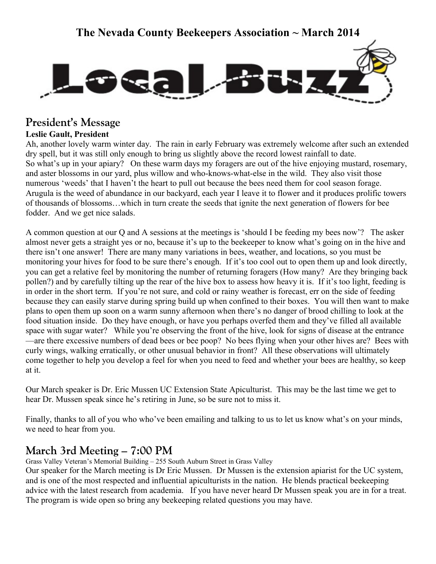# **The Nevada County Beekeepers Association ~ March 2014**



# **President's Message**

**Leslie Gault, President**

Ah, another lovely warm winter day. The rain in early February was extremely welcome after such an extended dry spell, but it was still only enough to bring us slightly above the record lowest rainfall to date. So what's up in your apiary? On these warm days my foragers are out of the hive enjoying mustard, rosemary, and aster blossoms in our yard, plus willow and who-knows-what-else in the wild. They also visit those numerous 'weeds' that I haven't the heart to pull out because the bees need them for cool season forage. Arugula is the weed of abundance in our backyard, each year I leave it to flower and it produces prolific towers of thousands of blossoms…which in turn create the seeds that ignite the next generation of flowers for bee fodder. And we get nice salads.

A common question at our Q and A sessions at the meetings is 'should I be feeding my bees now'? The asker almost never gets a straight yes or no, because it's up to the beekeeper to know what's going on in the hive and there isn't one answer! There are many many variations in bees, weather, and locations, so you must be monitoring your hives for food to be sure there's enough. If it's too cool out to open them up and look directly, you can get a relative feel by monitoring the number of returning foragers (How many? Are they bringing back pollen?) and by carefully tilting up the rear of the hive box to assess how heavy it is. If it's too light, feeding is in order in the short term. If you're not sure, and cold or rainy weather is forecast, err on the side of feeding because they can easily starve during spring build up when confined to their boxes. You will then want to make plans to open them up soon on a warm sunny afternoon when there's no danger of brood chilling to look at the food situation inside. Do they have enough, or have you perhaps overfed them and they've filled all available space with sugar water? While you're observing the front of the hive, look for signs of disease at the entrance —are there excessive numbers of dead bees or bee poop? No bees flying when your other hives are? Bees with curly wings, walking erratically, or other unusual behavior in front? All these observations will ultimately come together to help you develop a feel for when you need to feed and whether your bees are healthy, so keep at it.

Our March speaker is Dr. Eric Mussen UC Extension State Apiculturist. This may be the last time we get to hear Dr. Mussen speak since he's retiring in June, so be sure not to miss it.

Finally, thanks to all of you who who've been emailing and talking to us to let us know what's on your minds, we need to hear from you.

# **March 3rd Meeting – 7:00 PM**

Grass Valley Veteran's Memorial Building – 255 South Auburn Street in Grass Valley

Our speaker for the March meeting is Dr Eric Mussen. Dr Mussen is the extension apiarist for the UC system, and is one of the most respected and influential apiculturists in the nation. He blends practical beekeeping advice with the latest research from academia. If you have never heard Dr Mussen speak you are in for a treat. The program is wide open so bring any beekeeping related questions you may have.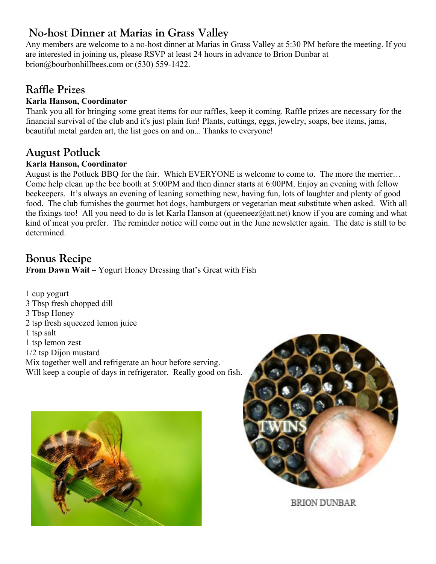# **No-host Dinner at Marias in Grass Valley**

Any members are welcome to a no-host dinner at Marias in Grass Valley at 5:30 PM before the meeting. If you are interested in joining us, please RSVP at least 24 hours in advance to Brion Dunbar at brion@bourbonhillbees.com or (530) 559-1422.

# **Raffle Prizes**

## **Karla Hanson, Coordinator**

Thank you all for bringing some great items for our raffles, keep it coming. Raffle prizes are necessary for the financial survival of the club and it's just plain fun! Plants, cuttings, eggs, jewelry, soaps, bee items, jams, beautiful metal garden art, the list goes on and on... Thanks to everyone!

## **August Potluck**

## **Karla Hanson, Coordinator**

August is the Potluck BBQ for the fair. Which EVERYONE is welcome to come to. The more the merrier… Come help clean up the bee booth at 5:00PM and then dinner starts at 6:00PM. Enjoy an evening with fellow beekeepers. It's always an evening of leaning something new, having fun, lots of laughter and plenty of good food. The club furnishes the gourmet hot dogs, hamburgers or vegetarian meat substitute when asked. With all the fixings too! All you need to do is let Karla Hanson at (queeneez@att.net) know if you are coming and what kind of meat you prefer. The reminder notice will come out in the June newsletter again. The date is still to be determined.

# **Bonus Recipe**

**From Dawn Wait –** Yogurt Honey Dressing that's Great with Fish

1 cup yogurt 3 Tbsp fresh chopped dill 3 Tbsp Honey 2 tsp fresh squeezed lemon juice 1 tsp salt 1 tsp lemon zest 1/2 tsp Dijon mustard Mix together well and refrigerate an hour before serving. Will keep a couple of days in refrigerator. Really good on fish.





**BRION DUNBAR**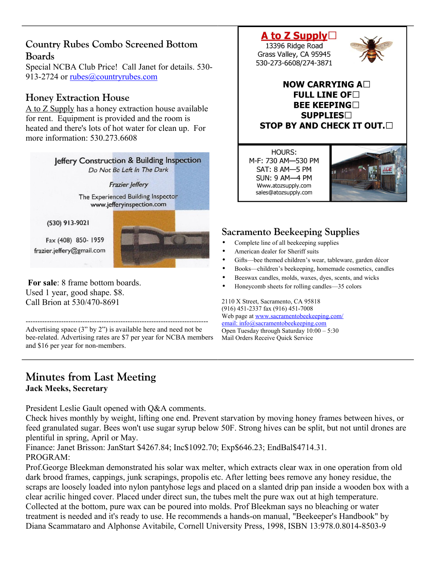## **Country Rubes Combo Screened Bottom Boards**

Special NCBA Club Price! Call Janet for details. 530 913-2724 or [rubes@countryrubes.com](mailto:rubes@countryrubes.com)

## **Honey Extraction House**

A to Z Supply has a honey extraction house available for rent. Equipment is provided and the room is heated and there's lots of hot water for clean up. For more information: 530.273.6608



Call Brion at 530/470-8691 -----------------------------------------------------------------------------

Advertising space (3" by 2") is available here and need not be bee-related. Advertising rates are \$7 per year for NCBA members and \$16 per year for non-members.

## **Minutes from Last Meeting Jack Meeks, Secretary**

President Leslie Gault opened with Q&A comments.

Check hives monthly by weight, lifting one end. Prevent starvation by moving honey frames between hives, or feed granulated sugar. Bees won't use sugar syrup below 50F. Strong hives can be split, but not until drones are plentiful in spring, April or May.

Finance: Janet Brisson: JanStart \$4267.84; Inc\$1092.70; Exp\$646.23; EndBal\$4714.31. PROGRAM:

Prof.George Bleekman demonstrated his solar wax melter, which extracts clear wax in one operation from old dark brood frames, cappings, junk scrapings, propolis etc. After letting bees remove any honey residue, the scraps are loosely loaded into nylon pantyhose legs and placed on a slanted drip pan inside a wooden box with a clear acrilic hinged cover. Placed under direct sun, the tubes melt the pure wax out at high temperature. Collected at the bottom, pure wax can be poured into molds. Prof Bleekman says no bleaching or water treatment is needed and it's ready to use. He recommends a hands-on manual, "Beekeeper's Handbook" by Diana Scammataro and Alphonse Avitabile, Cornell University Press, 1998, ISBN 13:978.0.8014-8503-9

## A to Z Supply $\Box$

13396 Ridge Road Grass Valley, CA 95945 530-273-6608/274-3871



## NOW CARRYING A $\square$ FULL LINE OF  $\Box$ **BEE KEEPING SUPPLIES STOP BY AND CHECK IT OUT.**

HOURS: M-F: 730 AM-530 PM SAT: 8 AM-5 PM **SUN: 9 AM-4 PM** Www.atozsupply.com sales@atozsupply.com



## **Sacramento Beekeeping Supplies**

- Complete line of all beekeeping supplies
- American dealer for Sheriff suits
- Gifts—bee themed children's wear, tableware, garden décor
- Books—children's beekeeping, homemade cosmetics, candles
- Beeswax candles, molds, waxes, dyes, scents, and wicks
- Honeycomb sheets for rolling candles—35 colors

2110 X Street, Sacramento, CA 95818 (916) 451-2337 fax (916) 451-7008 Web page at [www.sacramentobeekeeping.com/](http://www.sacramentobeekeeping.com/) email: inf[o@sacramentobeekeeping.com](mailto:%20info@sacramentobeekeeping.com) Open Tuesday through Saturday 10:00 – 5:30 Mail Orders Receive Quick Service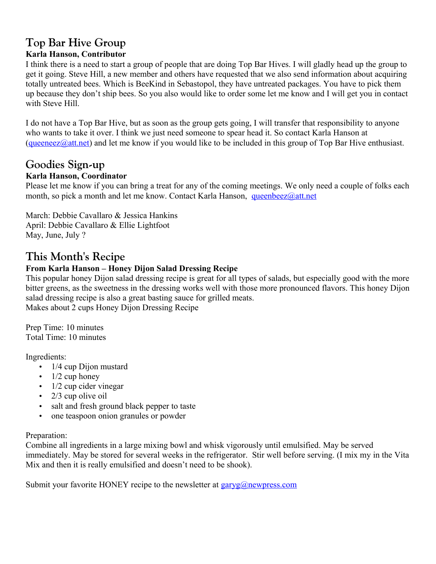# **Top Bar Hive Group**

## **Karla Hanson, Contributor**

I think there is a need to start a group of people that are doing Top Bar Hives. I will gladly head up the group to get it going. Steve Hill, a new member and others have requested that we also send information about acquiring totally untreated bees. Which is BeeKind in Sebastopol, they have untreated packages. You have to pick them up because they don't ship bees. So you also would like to order some let me know and I will get you in contact with Steve Hill.

I do not have a Top Bar Hive, but as soon as the group gets going, I will transfer that responsibility to anyone who wants to take it over. I think we just need someone to spear head it. So contact Karla Hanson at [\(queeneez@att.net\)](mailto:queeneez@att.net) and let me know if you would like to be included in this group of Top Bar Hive enthusiast.

## **Goodies Sign-up**

## **Karla Hanson, Coordinator**

Please let me know if you can bring a treat for any of the coming meetings. We only need a couple of folks each month, so pick a month and let me know. Contact Karla Hanson, [queenbeez@att.net](mailto:queenbeez@att.net)

March: Debbie Cavallaro & Jessica Hankins April: Debbie Cavallaro & Ellie Lightfoot May, June, July ?

# **This Month's Recipe**

## **From Karla Hanson – Honey Dijon Salad Dressing Recipe**

This popular honey Dijon salad dressing recipe is great for all types of salads, but especially good with the more bitter greens, as the sweetness in the dressing works well with those more pronounced flavors. This honey Dijon salad dressing recipe is also a great basting sauce for grilled meats. Makes about 2 cups Honey Dijon Dressing Recipe

Prep Time: 10 minutes Total Time: 10 minutes

Ingredients:

- $\bullet$  1/4 cup Dijon mustard
- $\bullet$  1/2 cup honey
- $\bullet$  1/2 cup cider vinegar
- $\bullet$  2/3 cup olive oil
- salt and fresh ground black pepper to taste
- one teaspoon onion granules or powder

### Preparation:

Combine all ingredients in a large mixing bowl and whisk vigorously until emulsified. May be served immediately. May be stored for several weeks in the refrigerator. Stir well before serving. (I mix my in the Vita Mix and then it is really emulsified and doesn't need to be shook).

Submit your favorite HONEY recipe to the newsletter at  $\frac{garyg}{\omega}$ newpress.com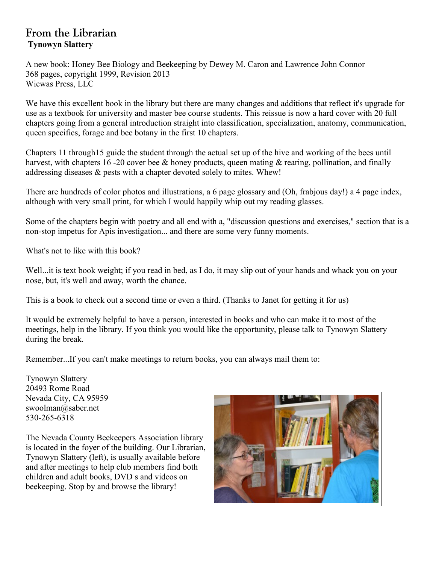## **From the Librarian Tynowyn Slattery**

A new book: Honey Bee Biology and Beekeeping by Dewey M. Caron and Lawrence John Connor 368 pages, copyright 1999, Revision 2013 Wicwas Press, LLC

We have this excellent book in the library but there are many changes and additions that reflect it's upgrade for use as a textbook for university and master bee course students. This reissue is now a hard cover with 20 full chapters going from a general introduction straight into classification, specialization, anatomy, communication, queen specifics, forage and bee botany in the first 10 chapters.

Chapters 11 through15 guide the student through the actual set up of the hive and working of the bees until harvest, with chapters 16-20 cover bee & honey products, queen mating & rearing, pollination, and finally addressing diseases & pests with a chapter devoted solely to mites. Whew!

There are hundreds of color photos and illustrations, a 6 page glossary and (Oh, frabjous day!) a 4 page index, although with very small print, for which I would happily whip out my reading glasses.

Some of the chapters begin with poetry and all end with a, "discussion questions and exercises," section that is a non-stop impetus for Apis investigation... and there are some very funny moments.

What's not to like with this book?

Well...it is text book weight; if you read in bed, as I do, it may slip out of your hands and whack you on your nose, but, it's well and away, worth the chance.

This is a book to check out a second time or even a third. (Thanks to Janet for getting it for us)

It would be extremely helpful to have a person, interested in books and who can make it to most of the meetings, help in the library. If you think you would like the opportunity, please talk to Tynowyn Slattery during the break.

Remember...If you can't make meetings to return books, you can always mail them to:

Tynowyn Slattery 20493 Rome Road Nevada City, CA 95959 swoolman@saber.net 530-265-6318

The Nevada County Beekeepers Association library is located in the foyer of the building. Our Librarian, Tynowyn Slattery (left), is usually available before and after meetings to help club members find both children and adult books, DVD s and videos on beekeeping. Stop by and browse the library!